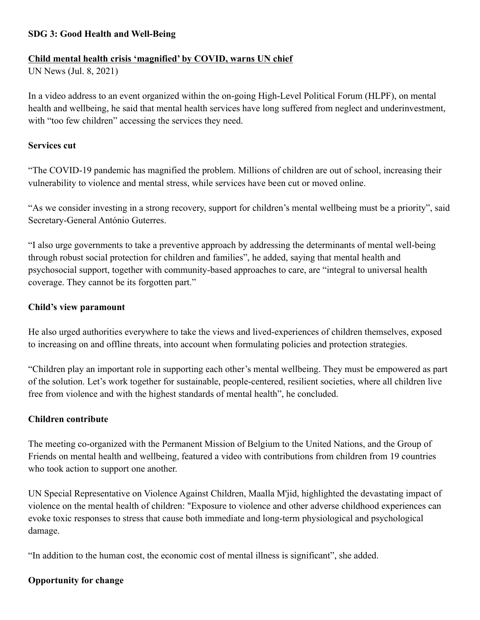# **SDG 3: Good Health and Well-Being**

### **Child mental health crisis 'magnified' by COVID, warns UN chief**

UN News (Jul. 8, 2021)

In a video address to an event organized within the on-going High-Level Political Forum (HLPF), on mental health and wellbeing, he said that mental health services have long suffered from neglect and underinvestment, with "too few children" accessing the services they need.

#### **Services cut**

"The COVID-19 pandemic has magnified the problem. Millions of children are out of school, increasing their vulnerability to violence and mental stress, while services have been cut or moved online.

"As we consider investing in a strong recovery, support for children's mental wellbeing must be a priority", said Secretary-General António Guterres.

"I also urge governments to take a preventive approach by addressing the determinants of mental well-being through robust social protection for children and families", he added, saying that mental health and psychosocial support, together with community-based approaches to care, are "integral to universal health coverage. They cannot be its forgotten part."

## **Child's view paramount**

He also urged authorities everywhere to take the views and lived-experiences of children themselves, exposed to increasing on and offline threats, into account when formulating policies and protection strategies.

"Children play an important role in supporting each other's mental wellbeing. They must be empowered as part of the solution. Let's work together for sustainable, people-centered, resilient societies, where all children live free from violence and with the highest standards of mental health", he concluded.

## **Children contribute**

The meeting co-organized with the Permanent Mission of Belgium to the United Nations, and the Group of Friends on mental health and wellbeing, featured a video with contributions from children from 19 countries who took action to support one another.

UN Special Representative on Violence Against Children, Maalla M'jid, highlighted the devastating impact of violence on the mental health of children: "Exposure to violence and other adverse childhood experiences can evoke toxic responses to stress that cause both immediate and long-term physiological and psychological damage.

"In addition to the human cost, the economic cost of mental illness is significant", she added.

#### **Opportunity for change**